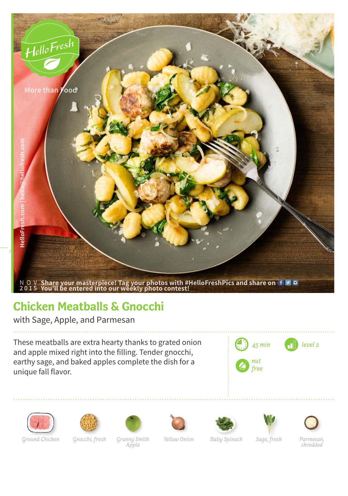

## **Chicken Meatballs & Gnocchi**

with Sage, Apple, and Parmesan

These meatballs are extra hearty thanks to grated onion and apple mixed right into the filling. Tender gnocchi, earthy sage, and baked apples complete the dish for a unique fall flavor.

















*Ground Chicken Granny Smith Yellow Onion*

*Gnocchi, fresh*

*Apple*

*Baby Spinach Sage, fresh Parmesan,* 

*shredded*